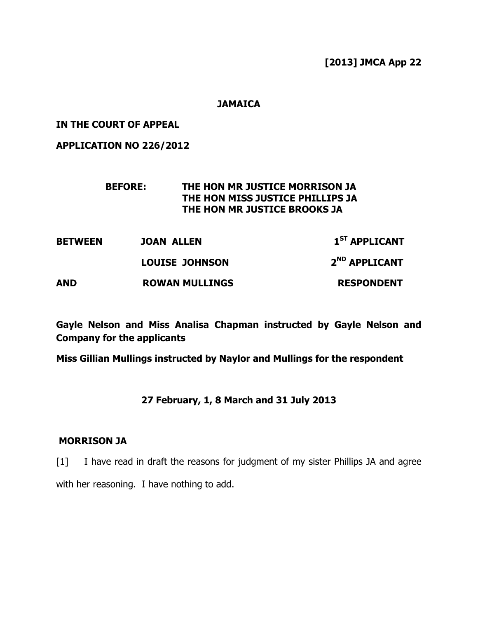[2013] JMCA App 22

## **JAMAICA**

IN THE COURT OF APPEAL

APPLICATION NO 226/2012

## BEFORE: THE HON MR JUSTICE MORRISON JA THE HON MISS JUSTICE PHILLIPS JA THE HON MR JUSTICE BROOKS JA

BETWEEN JOAN ALLEN 1<sup>ST</sup> APPLICANT LOUISE JOHNSON 2<sup>ND</sup> APPLICANT AND ROWAN MULLINGS RESPONDENT

Gayle Nelson and Miss Analisa Chapman instructed by Gayle Nelson and Company for the applicants

Miss Gillian Mullings instructed by Naylor and Mullings for the respondent

# 27 February, 1, 8 March and 31 July 2013

## MORRISON JA

[1] I have read in draft the reasons for judgment of my sister Phillips JA and agree with her reasoning. I have nothing to add.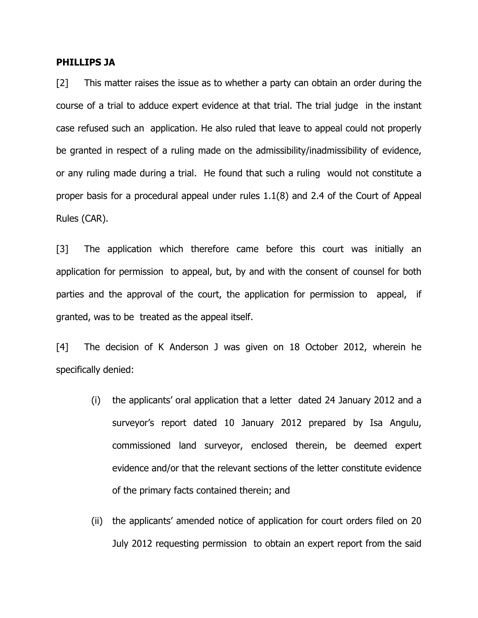#### PHILLIPS JA

[2] This matter raises the issue as to whether a party can obtain an order during the course of a trial to adduce expert evidence at that trial. The trial judge in the instant case refused such an application. He also ruled that leave to appeal could not properly be granted in respect of a ruling made on the admissibility/inadmissibility of evidence, or any ruling made during a trial. He found that such a ruling would not constitute a proper basis for a procedural appeal under rules 1.1(8) and 2.4 of the Court of Appeal Rules (CAR).

[3] The application which therefore came before this court was initially an application for permission to appeal, but, by and with the consent of counsel for both parties and the approval of the court, the application for permission to appeal, if granted, was to be treated as the appeal itself.

[4] The decision of K Anderson J was given on 18 October 2012, wherein he specifically denied:

- (i) the applicants' oral application that a letter dated 24 January 2012 and a surveyor's report dated 10 January 2012 prepared by Isa Angulu, commissioned land surveyor, enclosed therein, be deemed expert evidence and/or that the relevant sections of the letter constitute evidence of the primary facts contained therein; and
- (ii) the applicants' amended notice of application for court orders filed on 20 July 2012 requesting permission to obtain an expert report from the said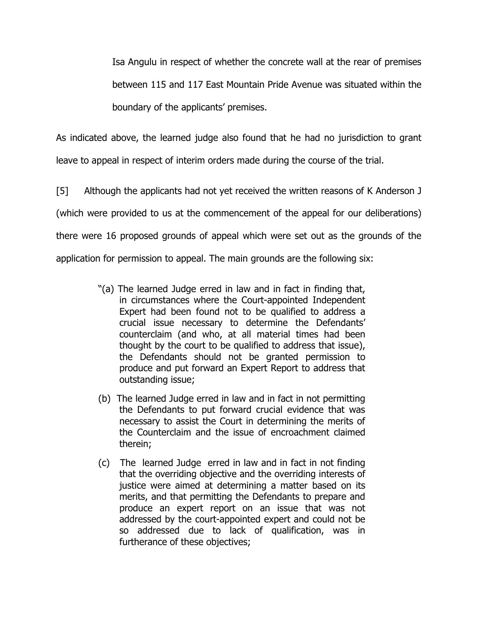Isa Angulu in respect of whether the concrete wall at the rear of premises between 115 and 117 East Mountain Pride Avenue was situated within the boundary of the applicants' premises.

As indicated above, the learned judge also found that he had no jurisdiction to grant leave to appeal in respect of interim orders made during the course of the trial.

[5] Although the applicants had not yet received the written reasons of K Anderson J (which were provided to us at the commencement of the appeal for our deliberations) there were 16 proposed grounds of appeal which were set out as the grounds of the application for permission to appeal. The main grounds are the following six:

- "(a) The learned Judge erred in law and in fact in finding that, in circumstances where the Court-appointed Independent Expert had been found not to be qualified to address a crucial issue necessary to determine the Defendants' counterclaim (and who, at all material times had been thought by the court to be qualified to address that issue), the Defendants should not be granted permission to produce and put forward an Expert Report to address that outstanding issue;
- (b) The learned Judge erred in law and in fact in not permitting the Defendants to put forward crucial evidence that was necessary to assist the Court in determining the merits of the Counterclaim and the issue of encroachment claimed therein;
- (c) The learned Judge erred in law and in fact in not finding that the overriding objective and the overriding interests of justice were aimed at determining a matter based on its merits, and that permitting the Defendants to prepare and produce an expert report on an issue that was not addressed by the court-appointed expert and could not be so addressed due to lack of qualification, was in furtherance of these objectives;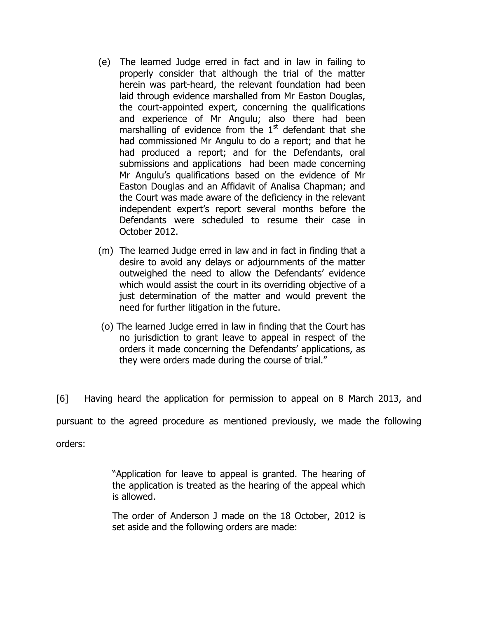- (e) The learned Judge erred in fact and in law in failing to properly consider that although the trial of the matter herein was part-heard, the relevant foundation had been laid through evidence marshalled from Mr Easton Douglas, the court-appointed expert, concerning the qualifications and experience of Mr Angulu; also there had been marshalling of evidence from the  $1<sup>st</sup>$  defendant that she had commissioned Mr Angulu to do a report; and that he had produced a report; and for the Defendants, oral submissions and applications had been made concerning Mr Angulu's qualifications based on the evidence of Mr Easton Douglas and an Affidavit of Analisa Chapman; and the Court was made aware of the deficiency in the relevant independent expert's report several months before the Defendants were scheduled to resume their case in October 2012.
- (m) The learned Judge erred in law and in fact in finding that a desire to avoid any delays or adjournments of the matter outweighed the need to allow the Defendants' evidence which would assist the court in its overriding objective of a just determination of the matter and would prevent the need for further litigation in the future.
- (o) The learned Judge erred in law in finding that the Court has no jurisdiction to grant leave to appeal in respect of the orders it made concerning the Defendants' applications, as they were orders made during the course of trial."

[6] Having heard the application for permission to appeal on 8 March 2013, and pursuant to the agreed procedure as mentioned previously, we made the following orders:

> "Application for leave to appeal is granted. The hearing of the application is treated as the hearing of the appeal which is allowed.

> The order of Anderson J made on the 18 October, 2012 is set aside and the following orders are made: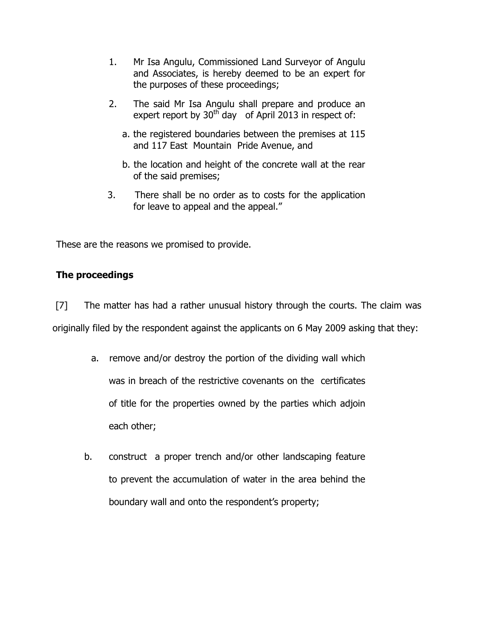- 1. Mr Isa Angulu, Commissioned Land Surveyor of Angulu and Associates, is hereby deemed to be an expert for the purposes of these proceedings;
- 2. The said Mr Isa Angulu shall prepare and produce an expert report by  $30<sup>th</sup>$  day of April 2013 in respect of:
	- a. the registered boundaries between the premises at 115 and 117 East Mountain Pride Avenue, and
	- b. the location and height of the concrete wall at the rear of the said premises;
- 3. There shall be no order as to costs for the application for leave to appeal and the appeal."

These are the reasons we promised to provide.

# The proceedings

 [7] The matter has had a rather unusual history through the courts. The claim was originally filed by the respondent against the applicants on 6 May 2009 asking that they:

- a. remove and/or destroy the portion of the dividing wall which was in breach of the restrictive covenants on the certificates of title for the properties owned by the parties which adjoin each other;
- b. construct a proper trench and/or other landscaping feature to prevent the accumulation of water in the area behind the boundary wall and onto the respondent's property;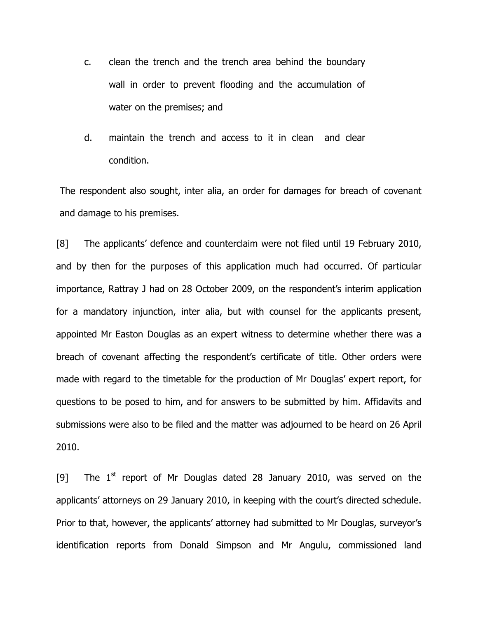- c. clean the trench and the trench area behind the boundary wall in order to prevent flooding and the accumulation of water on the premises; and
- d. maintain the trench and access to it in clean and clear condition.

The respondent also sought, inter alia, an order for damages for breach of covenant and damage to his premises.

[8] The applicants' defence and counterclaim were not filed until 19 February 2010, and by then for the purposes of this application much had occurred. Of particular importance, Rattray J had on 28 October 2009, on the respondent's interim application for a mandatory injunction, inter alia, but with counsel for the applicants present, appointed Mr Easton Douglas as an expert witness to determine whether there was a breach of covenant affecting the respondent's certificate of title. Other orders were made with regard to the timetable for the production of Mr Douglas' expert report, for questions to be posed to him, and for answers to be submitted by him. Affidavits and submissions were also to be filed and the matter was adjourned to be heard on 26 April 2010.

[9] The  $1<sup>st</sup>$  report of Mr Douglas dated 28 January 2010, was served on the applicants' attorneys on 29 January 2010, in keeping with the court's directed schedule. Prior to that, however, the applicants' attorney had submitted to Mr Douglas, surveyor's identification reports from Donald Simpson and Mr Angulu, commissioned land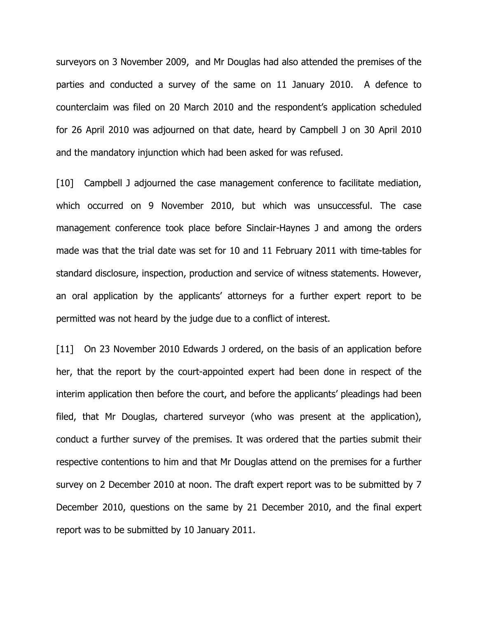surveyors on 3 November 2009, and Mr Douglas had also attended the premises of the parties and conducted a survey of the same on 11 January 2010. A defence to counterclaim was filed on 20 March 2010 and the respondent's application scheduled for 26 April 2010 was adjourned on that date, heard by Campbell J on 30 April 2010 and the mandatory injunction which had been asked for was refused.

[10] Campbell J adjourned the case management conference to facilitate mediation, which occurred on 9 November 2010, but which was unsuccessful. The case management conference took place before Sinclair-Haynes J and among the orders made was that the trial date was set for 10 and 11 February 2011 with time-tables for standard disclosure, inspection, production and service of witness statements. However, an oral application by the applicants' attorneys for a further expert report to be permitted was not heard by the judge due to a conflict of interest.

[11] On 23 November 2010 Edwards J ordered, on the basis of an application before her, that the report by the court-appointed expert had been done in respect of the interim application then before the court, and before the applicants' pleadings had been filed, that Mr Douglas, chartered surveyor (who was present at the application), conduct a further survey of the premises. It was ordered that the parties submit their respective contentions to him and that Mr Douglas attend on the premises for a further survey on 2 December 2010 at noon. The draft expert report was to be submitted by 7 December 2010, questions on the same by 21 December 2010, and the final expert report was to be submitted by 10 January 2011.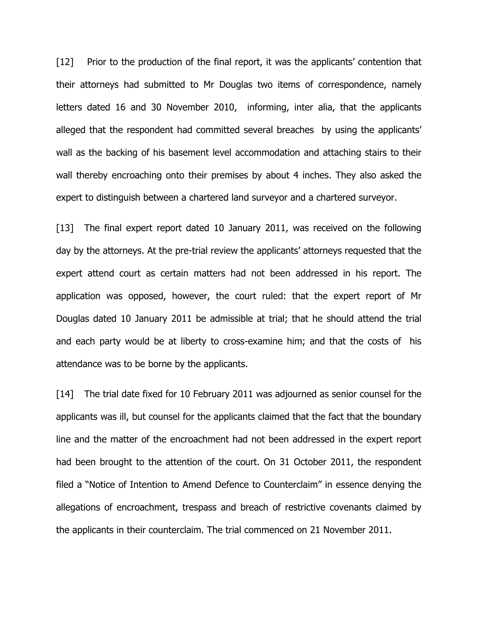[12] Prior to the production of the final report, it was the applicants' contention that their attorneys had submitted to Mr Douglas two items of correspondence, namely letters dated 16 and 30 November 2010, informing, inter alia, that the applicants alleged that the respondent had committed several breaches by using the applicants' wall as the backing of his basement level accommodation and attaching stairs to their wall thereby encroaching onto their premises by about 4 inches. They also asked the expert to distinguish between a chartered land surveyor and a chartered surveyor.

[13] The final expert report dated 10 January 2011, was received on the following day by the attorneys. At the pre-trial review the applicants' attorneys requested that the expert attend court as certain matters had not been addressed in his report. The application was opposed, however, the court ruled: that the expert report of Mr Douglas dated 10 January 2011 be admissible at trial; that he should attend the trial and each party would be at liberty to cross-examine him; and that the costs of his attendance was to be borne by the applicants.

[14] The trial date fixed for 10 February 2011 was adjourned as senior counsel for the applicants was ill, but counsel for the applicants claimed that the fact that the boundary line and the matter of the encroachment had not been addressed in the expert report had been brought to the attention of the court. On 31 October 2011, the respondent filed a "Notice of Intention to Amend Defence to Counterclaim" in essence denying the allegations of encroachment, trespass and breach of restrictive covenants claimed by the applicants in their counterclaim. The trial commenced on 21 November 2011.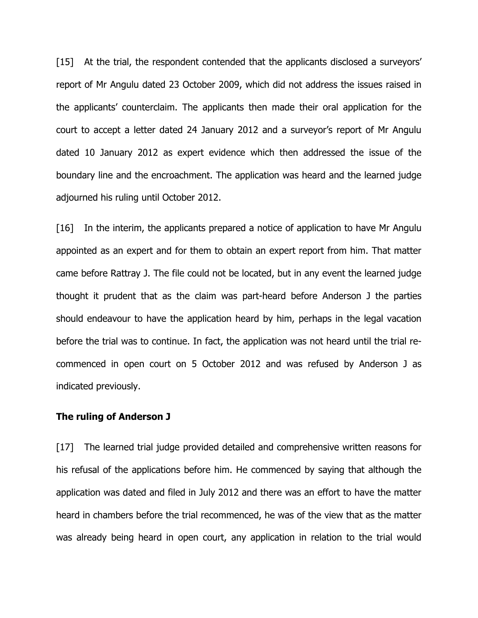[15] At the trial, the respondent contended that the applicants disclosed a surveyors' report of Mr Angulu dated 23 October 2009, which did not address the issues raised in the applicants' counterclaim. The applicants then made their oral application for the court to accept a letter dated 24 January 2012 and a surveyor's report of Mr Angulu dated 10 January 2012 as expert evidence which then addressed the issue of the boundary line and the encroachment. The application was heard and the learned judge adjourned his ruling until October 2012.

[16] In the interim, the applicants prepared a notice of application to have Mr Angulu appointed as an expert and for them to obtain an expert report from him. That matter came before Rattray J. The file could not be located, but in any event the learned judge thought it prudent that as the claim was part-heard before Anderson J the parties should endeavour to have the application heard by him, perhaps in the legal vacation before the trial was to continue. In fact, the application was not heard until the trial recommenced in open court on 5 October 2012 and was refused by Anderson J as indicated previously.

#### The ruling of Anderson J

[17] The learned trial judge provided detailed and comprehensive written reasons for his refusal of the applications before him. He commenced by saying that although the application was dated and filed in July 2012 and there was an effort to have the matter heard in chambers before the trial recommenced, he was of the view that as the matter was already being heard in open court, any application in relation to the trial would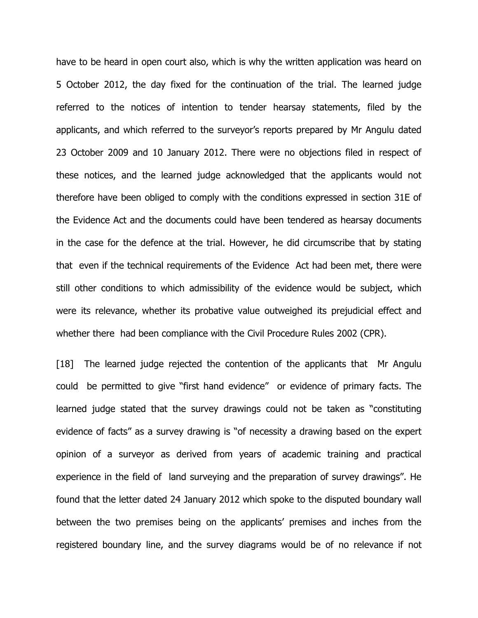have to be heard in open court also, which is why the written application was heard on 5 October 2012, the day fixed for the continuation of the trial. The learned judge referred to the notices of intention to tender hearsay statements, filed by the applicants, and which referred to the surveyor's reports prepared by Mr Angulu dated 23 October 2009 and 10 January 2012. There were no objections filed in respect of these notices, and the learned judge acknowledged that the applicants would not therefore have been obliged to comply with the conditions expressed in section 31E of the Evidence Act and the documents could have been tendered as hearsay documents in the case for the defence at the trial. However, he did circumscribe that by stating that even if the technical requirements of the Evidence Act had been met, there were still other conditions to which admissibility of the evidence would be subject, which were its relevance, whether its probative value outweighed its prejudicial effect and whether there had been compliance with the Civil Procedure Rules 2002 (CPR).

[18] The learned judge rejected the contention of the applicants that Mr Angulu could be permitted to give "first hand evidence" or evidence of primary facts. The learned judge stated that the survey drawings could not be taken as "constituting evidence of facts" as a survey drawing is "of necessity a drawing based on the expert opinion of a surveyor as derived from years of academic training and practical experience in the field of land surveying and the preparation of survey drawings". He found that the letter dated 24 January 2012 which spoke to the disputed boundary wall between the two premises being on the applicants' premises and inches from the registered boundary line, and the survey diagrams would be of no relevance if not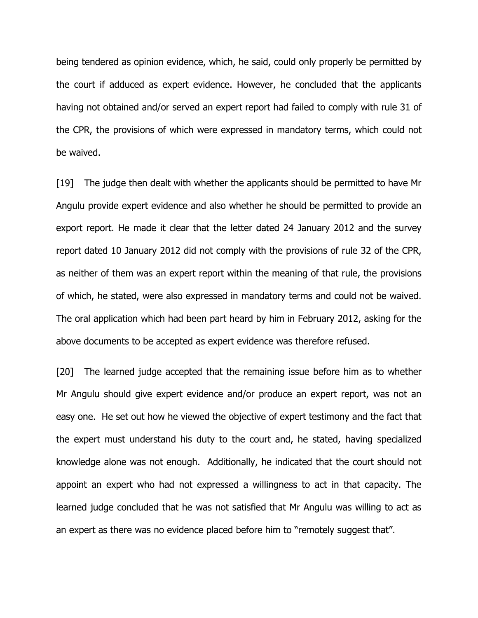being tendered as opinion evidence, which, he said, could only properly be permitted by the court if adduced as expert evidence. However, he concluded that the applicants having not obtained and/or served an expert report had failed to comply with rule 31 of the CPR, the provisions of which were expressed in mandatory terms, which could not be waived.

[19] The judge then dealt with whether the applicants should be permitted to have Mr Angulu provide expert evidence and also whether he should be permitted to provide an export report. He made it clear that the letter dated 24 January 2012 and the survey report dated 10 January 2012 did not comply with the provisions of rule 32 of the CPR, as neither of them was an expert report within the meaning of that rule, the provisions of which, he stated, were also expressed in mandatory terms and could not be waived. The oral application which had been part heard by him in February 2012, asking for the above documents to be accepted as expert evidence was therefore refused.

[20] The learned judge accepted that the remaining issue before him as to whether Mr Angulu should give expert evidence and/or produce an expert report, was not an easy one. He set out how he viewed the objective of expert testimony and the fact that the expert must understand his duty to the court and, he stated, having specialized knowledge alone was not enough. Additionally, he indicated that the court should not appoint an expert who had not expressed a willingness to act in that capacity. The learned judge concluded that he was not satisfied that Mr Angulu was willing to act as an expert as there was no evidence placed before him to "remotely suggest that".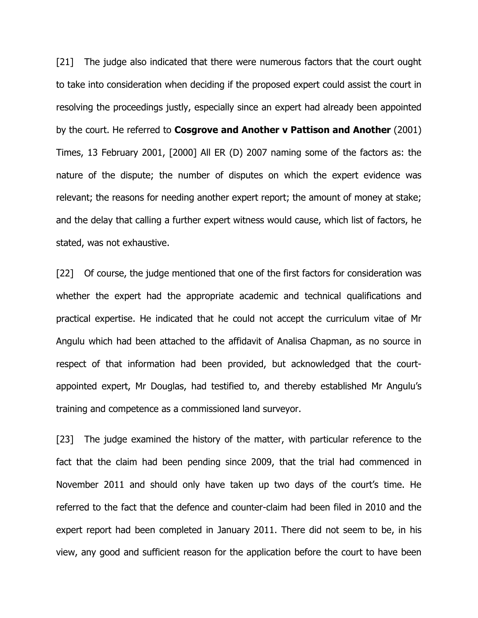[21] The judge also indicated that there were numerous factors that the court ought to take into consideration when deciding if the proposed expert could assist the court in resolving the proceedings justly, especially since an expert had already been appointed by the court. He referred to **Cosgrove and Another v Pattison and Another** (2001) Times, 13 February 2001, [2000] All ER (D) 2007 naming some of the factors as: the nature of the dispute; the number of disputes on which the expert evidence was relevant; the reasons for needing another expert report; the amount of money at stake; and the delay that calling a further expert witness would cause, which list of factors, he stated, was not exhaustive.

[22] Of course, the judge mentioned that one of the first factors for consideration was whether the expert had the appropriate academic and technical qualifications and practical expertise. He indicated that he could not accept the curriculum vitae of Mr Angulu which had been attached to the affidavit of Analisa Chapman, as no source in respect of that information had been provided, but acknowledged that the courtappointed expert, Mr Douglas, had testified to, and thereby established Mr Angulu's training and competence as a commissioned land surveyor.

[23] The judge examined the history of the matter, with particular reference to the fact that the claim had been pending since 2009, that the trial had commenced in November 2011 and should only have taken up two days of the court's time. He referred to the fact that the defence and counter-claim had been filed in 2010 and the expert report had been completed in January 2011. There did not seem to be, in his view, any good and sufficient reason for the application before the court to have been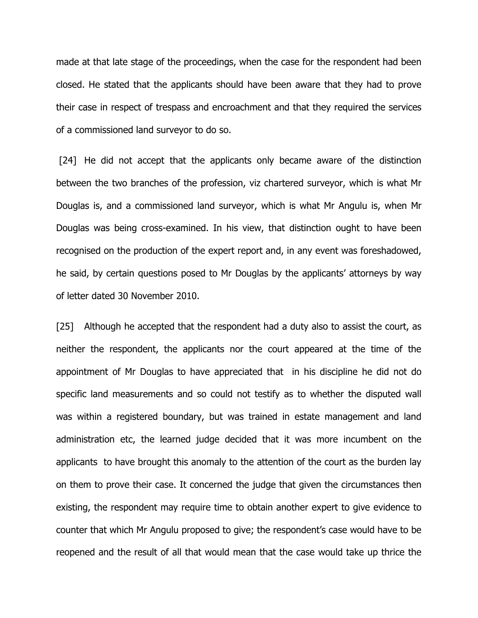made at that late stage of the proceedings, when the case for the respondent had been closed. He stated that the applicants should have been aware that they had to prove their case in respect of trespass and encroachment and that they required the services of a commissioned land surveyor to do so.

[24] He did not accept that the applicants only became aware of the distinction between the two branches of the profession, viz chartered surveyor, which is what Mr Douglas is, and a commissioned land surveyor, which is what Mr Angulu is, when Mr Douglas was being cross-examined. In his view, that distinction ought to have been recognised on the production of the expert report and, in any event was foreshadowed, he said, by certain questions posed to Mr Douglas by the applicants' attorneys by way of letter dated 30 November 2010.

[25] Although he accepted that the respondent had a duty also to assist the court, as neither the respondent, the applicants nor the court appeared at the time of the appointment of Mr Douglas to have appreciated that in his discipline he did not do specific land measurements and so could not testify as to whether the disputed wall was within a registered boundary, but was trained in estate management and land administration etc, the learned judge decided that it was more incumbent on the applicants to have brought this anomaly to the attention of the court as the burden lay on them to prove their case. It concerned the judge that given the circumstances then existing, the respondent may require time to obtain another expert to give evidence to counter that which Mr Angulu proposed to give; the respondent's case would have to be reopened and the result of all that would mean that the case would take up thrice the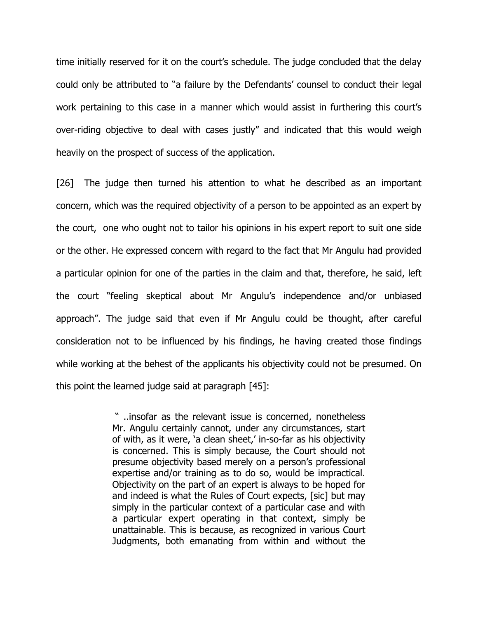time initially reserved for it on the court's schedule. The judge concluded that the delay could only be attributed to "a failure by the Defendants' counsel to conduct their legal work pertaining to this case in a manner which would assist in furthering this court's over-riding objective to deal with cases justly" and indicated that this would weigh heavily on the prospect of success of the application.

[26] The judge then turned his attention to what he described as an important concern, which was the required objectivity of a person to be appointed as an expert by the court, one who ought not to tailor his opinions in his expert report to suit one side or the other. He expressed concern with regard to the fact that Mr Angulu had provided a particular opinion for one of the parties in the claim and that, therefore, he said, left the court "feeling skeptical about Mr Angulu's independence and/or unbiased approach". The judge said that even if Mr Angulu could be thought, after careful consideration not to be influenced by his findings, he having created those findings while working at the behest of the applicants his objectivity could not be presumed. On this point the learned judge said at paragraph [45]:

> " ..insofar as the relevant issue is concerned, nonetheless Mr. Angulu certainly cannot, under any circumstances, start of with, as it were, 'a clean sheet,' in-so-far as his objectivity is concerned. This is simply because, the Court should not presume objectivity based merely on a person's professional expertise and/or training as to do so, would be impractical. Objectivity on the part of an expert is always to be hoped for and indeed is what the Rules of Court expects, [sic] but may simply in the particular context of a particular case and with a particular expert operating in that context, simply be unattainable. This is because, as recognized in various Court Judgments, both emanating from within and without the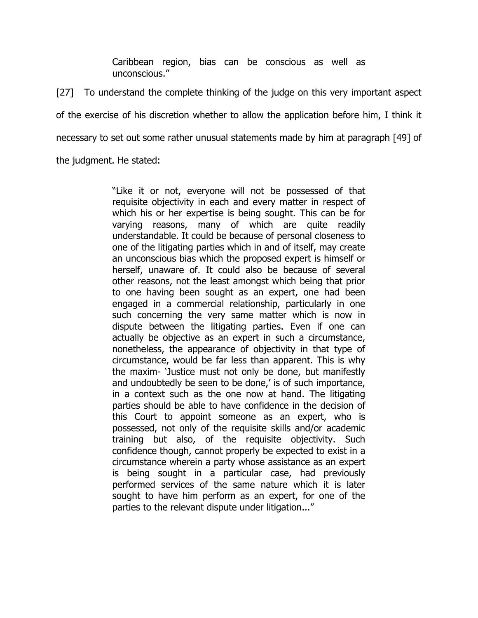Caribbean region, bias can be conscious as well as unconscious."

[27] To understand the complete thinking of the judge on this very important aspect of the exercise of his discretion whether to allow the application before him, I think it necessary to set out some rather unusual statements made by him at paragraph [49] of

the judgment. He stated:

"Like it or not, everyone will not be possessed of that requisite objectivity in each and every matter in respect of which his or her expertise is being sought. This can be for varying reasons, many of which are quite readily understandable. It could be because of personal closeness to one of the litigating parties which in and of itself, may create an unconscious bias which the proposed expert is himself or herself, unaware of. It could also be because of several other reasons, not the least amongst which being that prior to one having been sought as an expert, one had been engaged in a commercial relationship, particularly in one such concerning the very same matter which is now in dispute between the litigating parties. Even if one can actually be objective as an expert in such a circumstance, nonetheless, the appearance of objectivity in that type of circumstance, would be far less than apparent. This is why the maxim- 'Justice must not only be done, but manifestly and undoubtedly be seen to be done,' is of such importance, in a context such as the one now at hand. The litigating parties should be able to have confidence in the decision of this Court to appoint someone as an expert, who is possessed, not only of the requisite skills and/or academic training but also, of the requisite objectivity. Such confidence though, cannot properly be expected to exist in a circumstance wherein a party whose assistance as an expert is being sought in a particular case, had previously performed services of the same nature which it is later sought to have him perform as an expert, for one of the parties to the relevant dispute under litigation..."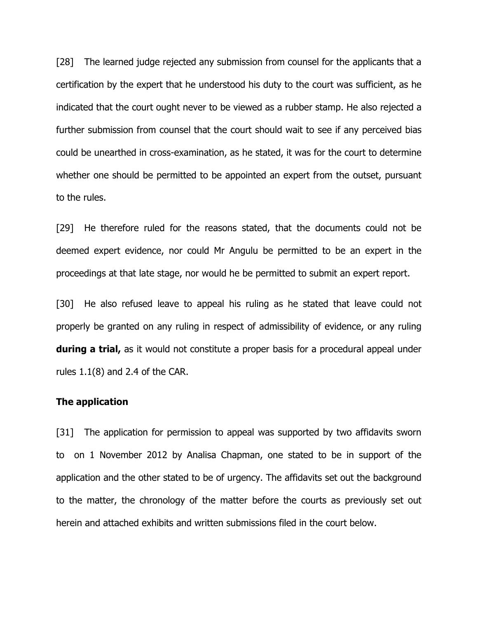[28] The learned judge rejected any submission from counsel for the applicants that a certification by the expert that he understood his duty to the court was sufficient, as he indicated that the court ought never to be viewed as a rubber stamp. He also rejected a further submission from counsel that the court should wait to see if any perceived bias could be unearthed in cross-examination, as he stated, it was for the court to determine whether one should be permitted to be appointed an expert from the outset, pursuant to the rules.

[29] He therefore ruled for the reasons stated, that the documents could not be deemed expert evidence, nor could Mr Angulu be permitted to be an expert in the proceedings at that late stage, nor would he be permitted to submit an expert report.

[30] He also refused leave to appeal his ruling as he stated that leave could not properly be granted on any ruling in respect of admissibility of evidence, or any ruling **during a trial,** as it would not constitute a proper basis for a procedural appeal under rules  $1.1(8)$  and 2.4 of the CAR.

#### The application

[31] The application for permission to appeal was supported by two affidavits sworn to on 1 November 2012 by Analisa Chapman, one stated to be in support of the application and the other stated to be of urgency. The affidavits set out the background to the matter, the chronology of the matter before the courts as previously set out herein and attached exhibits and written submissions filed in the court below.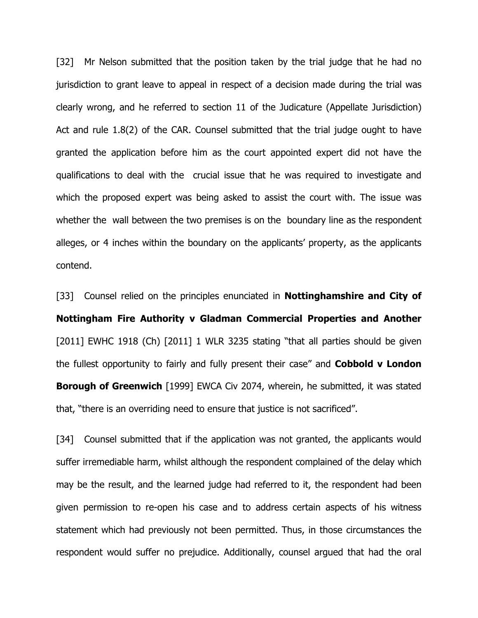[32] Mr Nelson submitted that the position taken by the trial judge that he had no jurisdiction to grant leave to appeal in respect of a decision made during the trial was clearly wrong, and he referred to section 11 of the Judicature (Appellate Jurisdiction) Act and rule 1.8(2) of the CAR. Counsel submitted that the trial judge ought to have granted the application before him as the court appointed expert did not have the qualifications to deal with the crucial issue that he was required to investigate and which the proposed expert was being asked to assist the court with. The issue was whether the wall between the two premises is on the boundary line as the respondent alleges, or 4 inches within the boundary on the applicants' property, as the applicants contend.

[33] Counsel relied on the principles enunciated in **Nottinghamshire and City of** Nottingham Fire Authority v Gladman Commercial Properties and Another [2011] EWHC 1918 (Ch) [2011] 1 WLR 3235 stating "that all parties should be given the fullest opportunity to fairly and fully present their case" and Cobbold v London **Borough of Greenwich** [1999] EWCA Civ 2074, wherein, he submitted, it was stated that, "there is an overriding need to ensure that justice is not sacrificed".

[34] Counsel submitted that if the application was not granted, the applicants would suffer irremediable harm, whilst although the respondent complained of the delay which may be the result, and the learned judge had referred to it, the respondent had been given permission to re-open his case and to address certain aspects of his witness statement which had previously not been permitted. Thus, in those circumstances the respondent would suffer no prejudice. Additionally, counsel argued that had the oral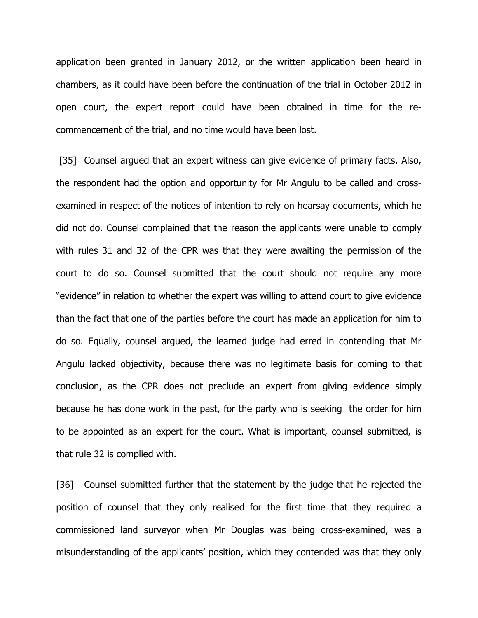application been granted in January 2012, or the written application been heard in chambers, as it could have been before the continuation of the trial in October 2012 in open court, the expert report could have been obtained in time for the recommencement of the trial, and no time would have been lost.

[35] Counsel argued that an expert witness can give evidence of primary facts. Also, the respondent had the option and opportunity for Mr Angulu to be called and crossexamined in respect of the notices of intention to rely on hearsay documents, which he did not do. Counsel complained that the reason the applicants were unable to comply with rules 31 and 32 of the CPR was that they were awaiting the permission of the court to do so. Counsel submitted that the court should not require any more "evidence" in relation to whether the expert was willing to attend court to give evidence than the fact that one of the parties before the court has made an application for him to do so. Equally, counsel argued, the learned judge had erred in contending that Mr Angulu lacked objectivity, because there was no legitimate basis for coming to that conclusion, as the CPR does not preclude an expert from giving evidence simply because he has done work in the past, for the party who is seeking the order for him to be appointed as an expert for the court. What is important, counsel submitted, is that rule 32 is complied with.

[36] Counsel submitted further that the statement by the judge that he rejected the position of counsel that they only realised for the first time that they required a commissioned land surveyor when Mr Douglas was being cross-examined, was a misunderstanding of the applicants' position, which they contended was that they only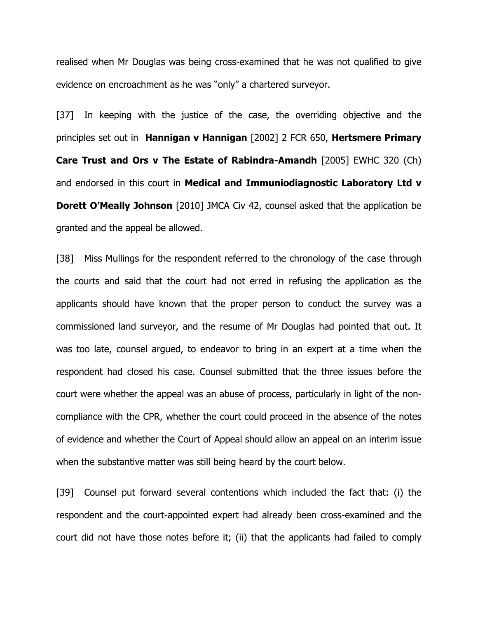realised when Mr Douglas was being cross-examined that he was not qualified to give evidence on encroachment as he was "only" a chartered surveyor.

[37] In keeping with the justice of the case, the overriding objective and the principles set out in Hannigan v Hannigan [2002] 2 FCR 650, Hertsmere Primary Care Trust and Ors v The Estate of Rabindra-Amandh [2005] EWHC 320 (Ch) and endorsed in this court in Medical and Immuniodiagnostic Laboratory Ltd v **Dorett O'Meally Johnson** [2010] JMCA Civ 42, counsel asked that the application be granted and the appeal be allowed.

[38] Miss Mullings for the respondent referred to the chronology of the case through the courts and said that the court had not erred in refusing the application as the applicants should have known that the proper person to conduct the survey was a commissioned land surveyor, and the resume of Mr Douglas had pointed that out. It was too late, counsel argued, to endeavor to bring in an expert at a time when the respondent had closed his case. Counsel submitted that the three issues before the court were whether the appeal was an abuse of process, particularly in light of the noncompliance with the CPR, whether the court could proceed in the absence of the notes of evidence and whether the Court of Appeal should allow an appeal on an interim issue when the substantive matter was still being heard by the court below.

[39] Counsel put forward several contentions which included the fact that: (i) the respondent and the court-appointed expert had already been cross-examined and the court did not have those notes before it; (ii) that the applicants had failed to comply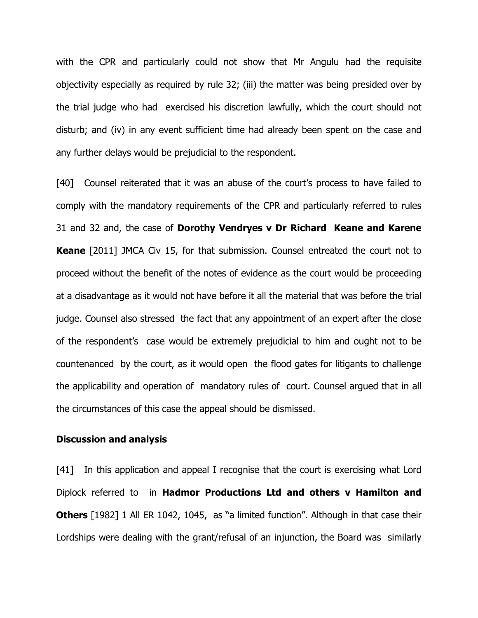with the CPR and particularly could not show that Mr Angulu had the requisite objectivity especially as required by rule 32; (iii) the matter was being presided over by the trial judge who had exercised his discretion lawfully, which the court should not disturb; and (iv) in any event sufficient time had already been spent on the case and any further delays would be prejudicial to the respondent.

[40] Counsel reiterated that it was an abuse of the court's process to have failed to comply with the mandatory requirements of the CPR and particularly referred to rules 31 and 32 and, the case of Dorothy Vendryes v Dr Richard Keane and Karene **Keane** [2011] JMCA Civ 15, for that submission. Counsel entreated the court not to proceed without the benefit of the notes of evidence as the court would be proceeding at a disadvantage as it would not have before it all the material that was before the trial judge. Counsel also stressed the fact that any appointment of an expert after the close of the respondent's case would be extremely prejudicial to him and ought not to be countenanced by the court, as it would open the flood gates for litigants to challenge the applicability and operation of mandatory rules of court. Counsel argued that in all the circumstances of this case the appeal should be dismissed.

#### Discussion and analysis

[41] In this application and appeal I recognise that the court is exercising what Lord Diplock referred to in Hadmor Productions Ltd and others v Hamilton and **Others** [1982] 1 All ER 1042, 1045, as "a limited function". Although in that case their Lordships were dealing with the grant/refusal of an injunction, the Board was similarly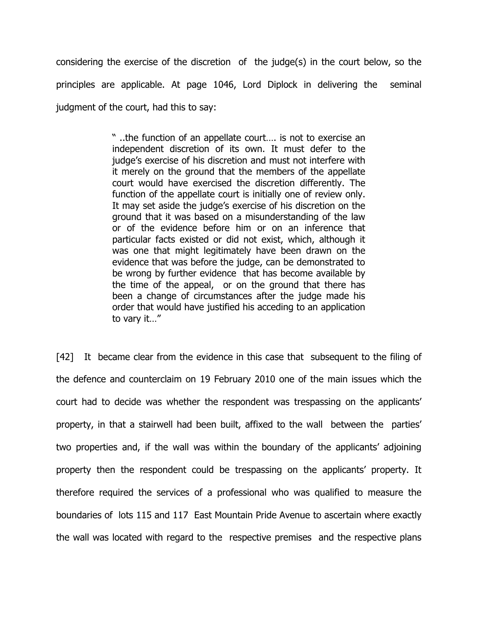considering the exercise of the discretion of the judge(s) in the court below, so the principles are applicable. At page 1046, Lord Diplock in delivering the seminal judgment of the court, had this to say:

> " ..the function of an appellate court…. is not to exercise an independent discretion of its own. It must defer to the judge's exercise of his discretion and must not interfere with it merely on the ground that the members of the appellate court would have exercised the discretion differently. The function of the appellate court is initially one of review only. It may set aside the judge's exercise of his discretion on the ground that it was based on a misunderstanding of the law or of the evidence before him or on an inference that particular facts existed or did not exist, which, although it was one that might legitimately have been drawn on the evidence that was before the judge, can be demonstrated to be wrong by further evidence that has become available by the time of the appeal, or on the ground that there has been a change of circumstances after the judge made his order that would have justified his acceding to an application to vary it…"

[42] It became clear from the evidence in this case that subsequent to the filing of the defence and counterclaim on 19 February 2010 one of the main issues which the court had to decide was whether the respondent was trespassing on the applicants' property, in that a stairwell had been built, affixed to the wall between the parties' two properties and, if the wall was within the boundary of the applicants' adjoining property then the respondent could be trespassing on the applicants' property. It therefore required the services of a professional who was qualified to measure the boundaries of lots 115 and 117 East Mountain Pride Avenue to ascertain where exactly the wall was located with regard to the respective premises and the respective plans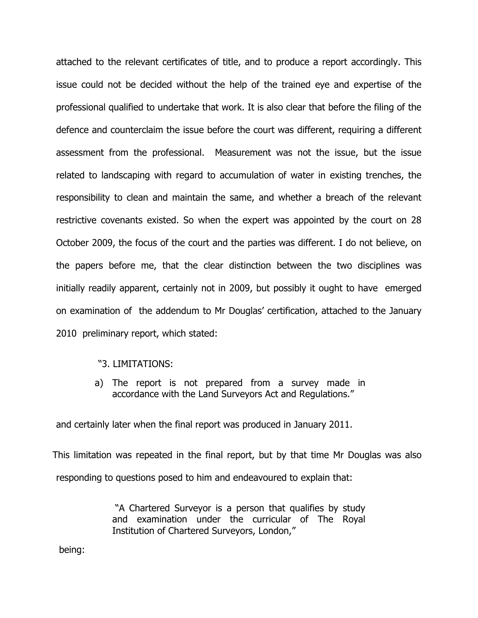attached to the relevant certificates of title, and to produce a report accordingly. This issue could not be decided without the help of the trained eye and expertise of the professional qualified to undertake that work. It is also clear that before the filing of the defence and counterclaim the issue before the court was different, requiring a different assessment from the professional. Measurement was not the issue, but the issue related to landscaping with regard to accumulation of water in existing trenches, the responsibility to clean and maintain the same, and whether a breach of the relevant restrictive covenants existed. So when the expert was appointed by the court on 28 October 2009, the focus of the court and the parties was different. I do not believe, on the papers before me, that the clear distinction between the two disciplines was initially readily apparent, certainly not in 2009, but possibly it ought to have emerged on examination of the addendum to Mr Douglas' certification, attached to the January 2010 preliminary report, which stated:

#### "3. LIMITATIONS:

a) The report is not prepared from a survey made in accordance with the Land Surveyors Act and Regulations."

and certainly later when the final report was produced in January 2011.

This limitation was repeated in the final report, but by that time Mr Douglas was also responding to questions posed to him and endeavoured to explain that:

> "A Chartered Surveyor is a person that qualifies by study and examination under the curricular of The Royal Institution of Chartered Surveyors, London,"

being: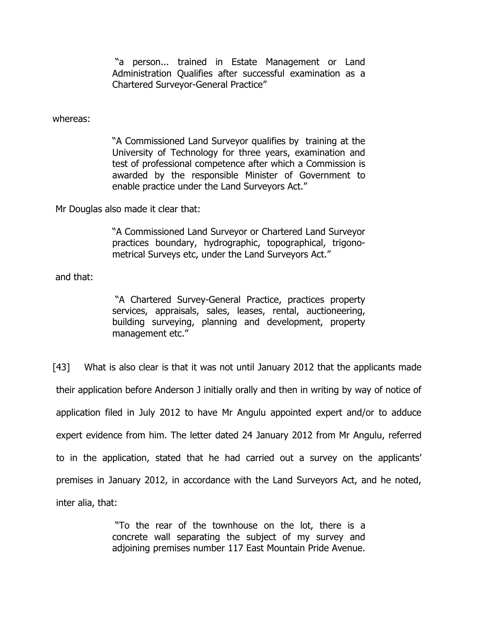"a person... trained in Estate Management or Land Administration Qualifies after successful examination as a Chartered Surveyor-General Practice"

whereas:

"A Commissioned Land Surveyor qualifies by training at the University of Technology for three years, examination and test of professional competence after which a Commission is awarded by the responsible Minister of Government to enable practice under the Land Surveyors Act."

Mr Douglas also made it clear that:

"A Commissioned Land Surveyor or Chartered Land Surveyor practices boundary, hydrographic, topographical, trigonometrical Surveys etc, under the Land Surveyors Act."

and that:

 "A Chartered Survey-General Practice, practices property services, appraisals, sales, leases, rental, auctioneering, building surveying, planning and development, property management etc."

[43] What is also clear is that it was not until January 2012 that the applicants made their application before Anderson J initially orally and then in writing by way of notice of application filed in July 2012 to have Mr Angulu appointed expert and/or to adduce expert evidence from him. The letter dated 24 January 2012 from Mr Angulu, referred to in the application, stated that he had carried out a survey on the applicants' premises in January 2012, in accordance with the Land Surveyors Act, and he noted, inter alia, that:

> "To the rear of the townhouse on the lot, there is a concrete wall separating the subject of my survey and adjoining premises number 117 East Mountain Pride Avenue.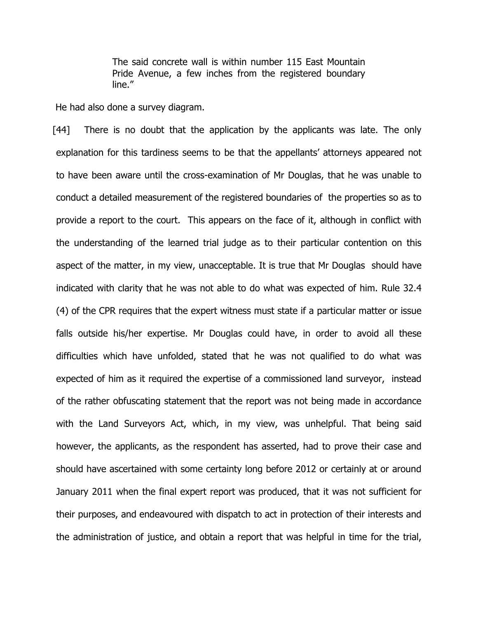The said concrete wall is within number 115 East Mountain Pride Avenue, a few inches from the registered boundary line."

He had also done a survey diagram.

[44] There is no doubt that the application by the applicants was late. The only explanation for this tardiness seems to be that the appellants' attorneys appeared not to have been aware until the cross-examination of Mr Douglas, that he was unable to conduct a detailed measurement of the registered boundaries of the properties so as to provide a report to the court. This appears on the face of it, although in conflict with the understanding of the learned trial judge as to their particular contention on this aspect of the matter, in my view, unacceptable. It is true that Mr Douglas should have indicated with clarity that he was not able to do what was expected of him. Rule 32.4 (4) of the CPR requires that the expert witness must state if a particular matter or issue falls outside his/her expertise. Mr Douglas could have, in order to avoid all these difficulties which have unfolded, stated that he was not qualified to do what was expected of him as it required the expertise of a commissioned land surveyor, instead of the rather obfuscating statement that the report was not being made in accordance with the Land Surveyors Act, which, in my view, was unhelpful. That being said however, the applicants, as the respondent has asserted, had to prove their case and should have ascertained with some certainty long before 2012 or certainly at or around January 2011 when the final expert report was produced, that it was not sufficient for their purposes, and endeavoured with dispatch to act in protection of their interests and the administration of justice, and obtain a report that was helpful in time for the trial,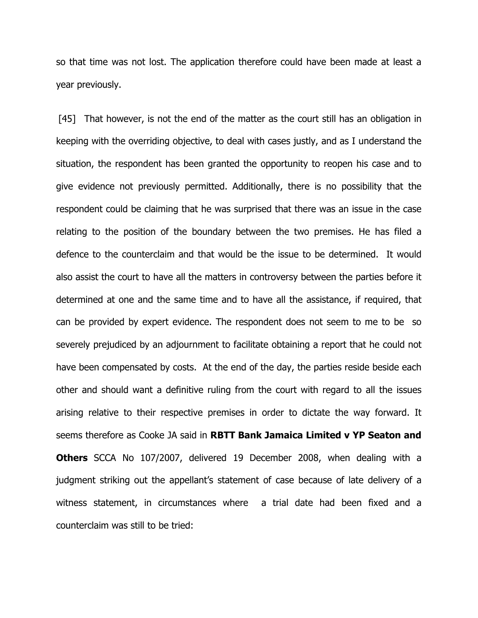so that time was not lost. The application therefore could have been made at least a year previously.

[45] That however, is not the end of the matter as the court still has an obligation in keeping with the overriding objective, to deal with cases justly, and as I understand the situation, the respondent has been granted the opportunity to reopen his case and to give evidence not previously permitted. Additionally, there is no possibility that the respondent could be claiming that he was surprised that there was an issue in the case relating to the position of the boundary between the two premises. He has filed a defence to the counterclaim and that would be the issue to be determined. It would also assist the court to have all the matters in controversy between the parties before it determined at one and the same time and to have all the assistance, if required, that can be provided by expert evidence. The respondent does not seem to me to be so severely prejudiced by an adjournment to facilitate obtaining a report that he could not have been compensated by costs. At the end of the day, the parties reside beside each other and should want a definitive ruling from the court with regard to all the issues arising relative to their respective premises in order to dictate the way forward. It seems therefore as Cooke JA said in RBTT Bank Jamaica Limited v YP Seaton and **Others** SCCA No 107/2007, delivered 19 December 2008, when dealing with a judgment striking out the appellant's statement of case because of late delivery of a witness statement, in circumstances where a trial date had been fixed and a counterclaim was still to be tried: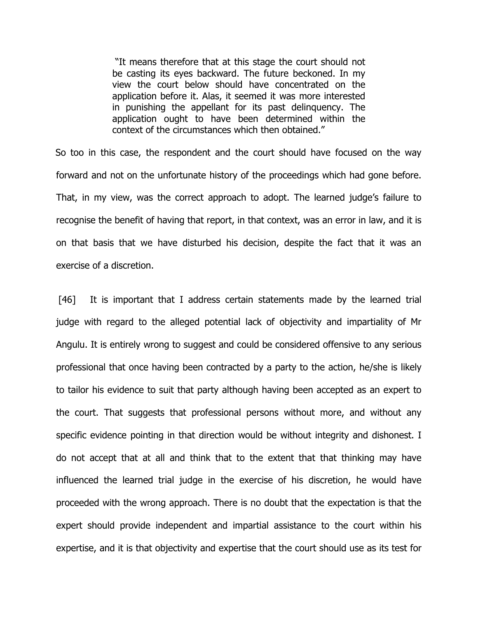"It means therefore that at this stage the court should not be casting its eyes backward. The future beckoned. In my view the court below should have concentrated on the application before it. Alas, it seemed it was more interested in punishing the appellant for its past delinquency. The application ought to have been determined within the context of the circumstances which then obtained."

 So too in this case, the respondent and the court should have focused on the way forward and not on the unfortunate history of the proceedings which had gone before. That, in my view, was the correct approach to adopt. The learned judge's failure to recognise the benefit of having that report, in that context, was an error in law, and it is on that basis that we have disturbed his decision, despite the fact that it was an exercise of a discretion.

 [46] It is important that I address certain statements made by the learned trial judge with regard to the alleged potential lack of objectivity and impartiality of Mr Angulu. It is entirely wrong to suggest and could be considered offensive to any serious professional that once having been contracted by a party to the action, he/she is likely to tailor his evidence to suit that party although having been accepted as an expert to the court. That suggests that professional persons without more, and without any specific evidence pointing in that direction would be without integrity and dishonest. I do not accept that at all and think that to the extent that that thinking may have influenced the learned trial judge in the exercise of his discretion, he would have proceeded with the wrong approach. There is no doubt that the expectation is that the expert should provide independent and impartial assistance to the court within his expertise, and it is that objectivity and expertise that the court should use as its test for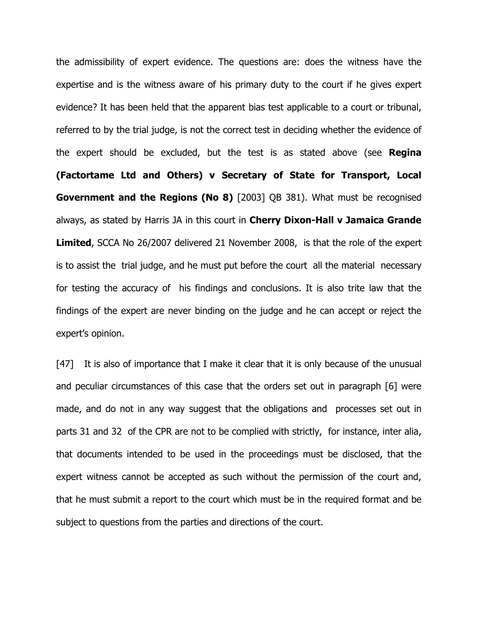the admissibility of expert evidence. The questions are: does the witness have the expertise and is the witness aware of his primary duty to the court if he gives expert evidence? It has been held that the apparent bias test applicable to a court or tribunal, referred to by the trial judge, is not the correct test in deciding whether the evidence of the expert should be excluded, but the test is as stated above (see Regina (Factortame Ltd and Others) v Secretary of State for Transport, Local Government and the Regions (No 8) [2003] QB 381). What must be recognised always, as stated by Harris JA in this court in Cherry Dixon-Hall v Jamaica Grande **Limited,** SCCA No 26/2007 delivered 21 November 2008, is that the role of the expert is to assist the trial judge, and he must put before the court all the material necessary for testing the accuracy of his findings and conclusions. It is also trite law that the findings of the expert are never binding on the judge and he can accept or reject the expert's opinion.

[47] It is also of importance that I make it clear that it is only because of the unusual and peculiar circumstances of this case that the orders set out in paragraph [6] were made, and do not in any way suggest that the obligations and processes set out in parts 31 and 32 of the CPR are not to be complied with strictly, for instance, inter alia, that documents intended to be used in the proceedings must be disclosed, that the expert witness cannot be accepted as such without the permission of the court and, that he must submit a report to the court which must be in the required format and be subject to questions from the parties and directions of the court.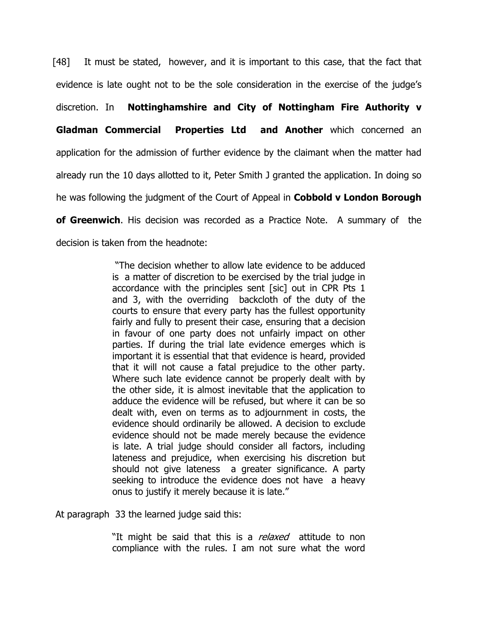[48] It must be stated, however, and it is important to this case, that the fact that evidence is late ought not to be the sole consideration in the exercise of the judge's discretion. In Nottinghamshire and City of Nottingham Fire Authority v Gladman Commercial Properties Ltd and Another which concerned an application for the admission of further evidence by the claimant when the matter had already run the 10 days allotted to it, Peter Smith J granted the application. In doing so he was following the judgment of the Court of Appeal in **Cobbold v London Borough** of Greenwich. His decision was recorded as a Practice Note. A summary of the decision is taken from the headnote:

> "The decision whether to allow late evidence to be adduced is a matter of discretion to be exercised by the trial judge in accordance with the principles sent [sic] out in CPR Pts 1 and 3, with the overriding backcloth of the duty of the courts to ensure that every party has the fullest opportunity fairly and fully to present their case, ensuring that a decision in favour of one party does not unfairly impact on other parties. If during the trial late evidence emerges which is important it is essential that that evidence is heard, provided that it will not cause a fatal prejudice to the other party. Where such late evidence cannot be properly dealt with by the other side, it is almost inevitable that the application to adduce the evidence will be refused, but where it can be so dealt with, even on terms as to adjournment in costs, the evidence should ordinarily be allowed. A decision to exclude evidence should not be made merely because the evidence is late. A trial judge should consider all factors, including lateness and prejudice, when exercising his discretion but should not give lateness a greater significance. A party seeking to introduce the evidence does not have a heavy onus to justify it merely because it is late."

At paragraph 33 the learned judge said this:

"It might be said that this is a *relaxed* attitude to non compliance with the rules. I am not sure what the word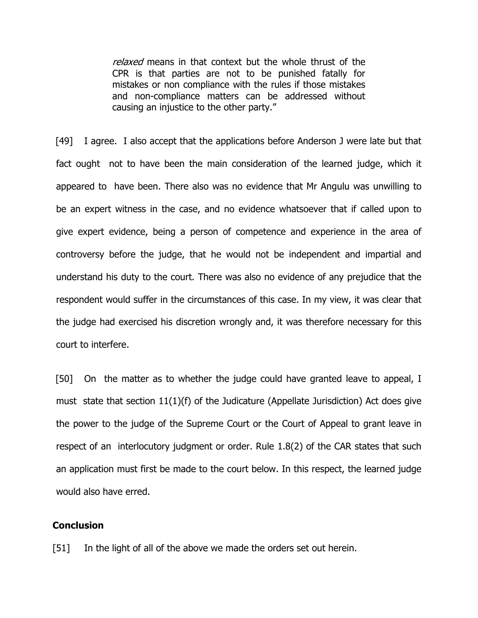relaxed means in that context but the whole thrust of the CPR is that parties are not to be punished fatally for mistakes or non compliance with the rules if those mistakes and non-compliance matters can be addressed without causing an injustice to the other party."

[49] I agree. I also accept that the applications before Anderson J were late but that fact ought not to have been the main consideration of the learned judge, which it appeared to have been. There also was no evidence that Mr Angulu was unwilling to be an expert witness in the case, and no evidence whatsoever that if called upon to give expert evidence, being a person of competence and experience in the area of controversy before the judge, that he would not be independent and impartial and understand his duty to the court. There was also no evidence of any prejudice that the respondent would suffer in the circumstances of this case. In my view, it was clear that the judge had exercised his discretion wrongly and, it was therefore necessary for this court to interfere.

 [50] On the matter as to whether the judge could have granted leave to appeal, I must state that section  $11(1)(f)$  of the Judicature (Appellate Jurisdiction) Act does give the power to the judge of the Supreme Court or the Court of Appeal to grant leave in respect of an interlocutory judgment or order. Rule 1.8(2) of the CAR states that such an application must first be made to the court below. In this respect, the learned judge would also have erred.

#### Conclusion

[51] In the light of all of the above we made the orders set out herein.